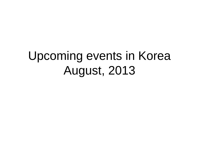## Upcoming events in Korea August, 2013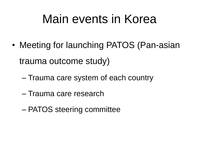#### Main events in Korea

- Meeting for launching PATOS (Pan-asian trauma outcome study)
	- Trauma care system of each country
	- Trauma care research
	- PATOS steering committee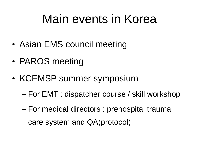### Main events in Korea

- Asian EMS council meeting
- PAROS meeting
- KCEMSP summer symposium
	- For EMT : dispatcher course / skill workshop
	- For medical directors : prehospital trauma care system and QA(protocol)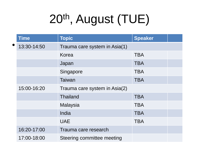# 20th, August (TUE)

|           | <b>Time</b> | <b>Topic</b>                  | <b>Speaker</b> |  |
|-----------|-------------|-------------------------------|----------------|--|
| $\bullet$ | 13:30-14:50 | Trauma care system in Asia(1) |                |  |
|           |             | Korea                         | <b>TBA</b>     |  |
|           |             | Japan                         | <b>TBA</b>     |  |
|           |             | Singapore                     | <b>TBA</b>     |  |
|           |             | Taiwan                        | <b>TBA</b>     |  |
|           | 15:00-16:20 | Trauma care system in Asia(2) |                |  |
|           |             | <b>Thailand</b>               | <b>TBA</b>     |  |
|           |             | <b>Malaysia</b>               | <b>TBA</b>     |  |
|           |             | India                         | <b>TBA</b>     |  |
|           |             | <b>UAE</b>                    | <b>TBA</b>     |  |
|           | 16:20-17:00 | Trauma care research          |                |  |
|           | 17:00-18:00 | Steering committee meeting    |                |  |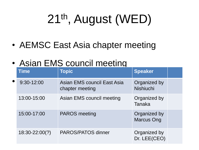# 21<sup>th</sup>, August (WED)

• AEMSC East Asia chapter meeting

#### • Asian EMS council meeting

|           | Time               | <b>Topic</b>                                   | <b>Speaker</b>                    |  |
|-----------|--------------------|------------------------------------------------|-----------------------------------|--|
| $\bullet$ | 9:30-12:00         | Asian EMS council East Asia<br>chapter meeting | Organized by<br><b>Nishiuchi</b>  |  |
|           | 13:00-15:00        | Asian EMS council meeting                      | Organized by<br><b>Tanaka</b>     |  |
|           | 15:00-17:00        | <b>PAROS</b> meeting                           | Organized by<br><b>Marcus Ong</b> |  |
|           | $18:30 - 22:00(?)$ | <b>PAROS/PATOS dinner</b>                      | Organized by<br>Dr. LEE(CEO)      |  |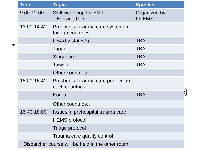| <b>Time</b>                                      | <b>Topic</b>                                           | <b>Speaker</b>                |            |
|--------------------------------------------------|--------------------------------------------------------|-------------------------------|------------|
| 9:00-12:00                                       | Skill workshop for EMT<br>: ETI and ITD                | Organized by<br><b>KCEMSP</b> |            |
| 13:00-14:40                                      | Prehospital trauma care system in<br>foreign countries |                               |            |
|                                                  | USA(by states?)                                        | <b>TBA</b>                    |            |
|                                                  | Japan                                                  | <b>TBA</b>                    |            |
|                                                  | Singapore                                              | <b>TBA</b>                    |            |
|                                                  | Taiwan                                                 | <b>TBA</b>                    |            |
|                                                  | Other countries                                        |                               |            |
| 15:00-16:40                                      | Preshopital trauma care protocol in<br>each countries  |                               |            |
|                                                  | Korea                                                  | <b>TBA</b>                    | $ \rangle$ |
|                                                  | Other countries                                        |                               |            |
| 16:40-18:00                                      | Issues in prehospital trauma care                      |                               |            |
|                                                  | <b>HEMS</b> protocol                                   |                               |            |
|                                                  | Triage protocol                                        |                               |            |
|                                                  | Trauma care quality control                            |                               |            |
| Dispatcher course will be held in the other room |                                                        |                               |            |